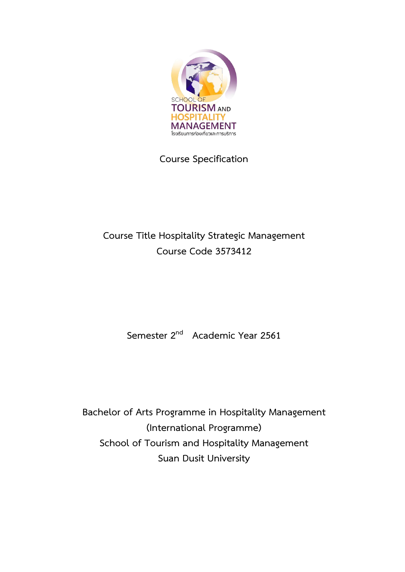

**Course Specification**

# **Course Title Hospitality Strategic Management Course Code 3573412**

**Semester 2 nd Academic Year 2561**

**Bachelor of Arts Programme in Hospitality Management (International Programme) School of Tourism and Hospitality Management Suan Dusit University**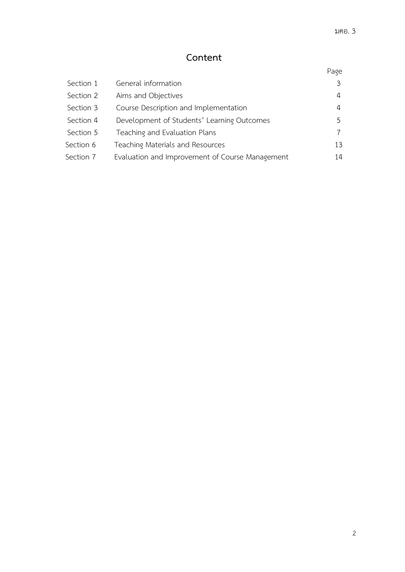# **Content**

# Page

| Section 1 | General information                             | ζ  |
|-----------|-------------------------------------------------|----|
| Section 2 | Aims and Objectives                             | 4  |
| Section 3 | Course Description and Implementation           | 4  |
| Section 4 | Development of Students' Learning Outcomes      | 5  |
| Section 5 | Teaching and Evaluation Plans                   |    |
| Section 6 | Teaching Materials and Resources                | 13 |
| Section 7 | Evaluation and Improvement of Course Management | 14 |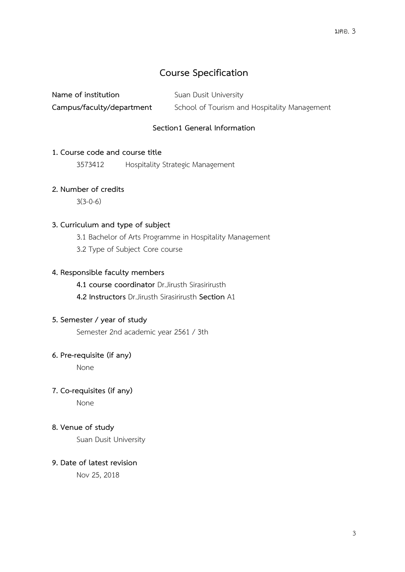## **Course Specification**

| Name of institution       | Suan Dusit University                        |
|---------------------------|----------------------------------------------|
| Campus/faculty/department | School of Tourism and Hospitality Management |

## **Section1 General Information**

### **1. Course code and course title**

3573412 Hospitality Strategic Management

## **2. Number of credits**

3(3-0-6)

## **3. Curriculum and type of subject**

3.1 Bachelor of Arts Programme in Hospitality Management

3.2 Type of Subject Core course

## **4. Responsible faculty members**

**4.1 course coordinator** Dr.Jirusth Sirasirirusth

 **4.2 Instructors** Dr.Jirusth Sirasirirusth **Section** A1

### **5. Semester / year of study**

Semester 2nd academic year 2561 / 3th

## **6. Pre-requisite (if any)**

None

## **7. Co-requisites (if any)**

None

### **8. Venue of study**

Suan Dusit University

### **9. Date of latest revision**

Nov 25, 2018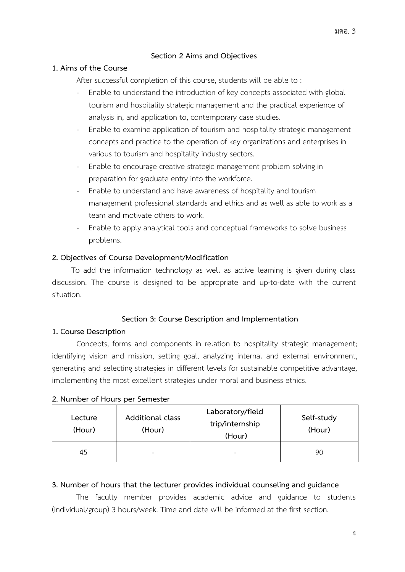## **Section 2 Aims and Objectives**

### **1. Aims of the Course**

After successful completion of this course, students will be able to :

- Enable to understand the introduction of key concepts associated with global tourism and hospitality strategic management and the practical experience of analysis in, and application to, contemporary case studies.
- Enable to examine application of tourism and hospitality strategic management concepts and practice to the operation of key organizations and enterprises in various to tourism and hospitality industry sectors.
- Enable to encourage creative strategic management problem solving in preparation for graduate entry into the workforce.
- Enable to understand and have awareness of hospitality and tourism management professional standards and ethics and as well as able to work as a team and motivate others to work.
- Enable to apply analytical tools and conceptual frameworks to solve business problems.

#### **2. Objectives of Course Development/Modification**

To add the information technology as well as active learning is given during class discussion. The course is designed to be appropriate and up-to-date with the current situation.

#### **Section 3: Course Description and Implementation**

#### **1. Course Description**

Concepts, forms and components in relation to hospitality strategic management; identifying vision and mission, setting goal, analyzing internal and external environment, generating and selecting strategies in different levels for sustainable competitive advantage, implementing the most excellent strategies under moral and business ethics.

| Lecture<br>(Hour) | Additional class<br>(Hour) | Laboratory/field<br>trip/internship<br>(Hour) | Self-study<br>(Hour) |
|-------------------|----------------------------|-----------------------------------------------|----------------------|
| 45                | -                          | ۰                                             | 90                   |

#### **2. Number of Hours per Semester**

### **3. Number of hours that the lecturer provides individual counseling and guidance**

The faculty member provides academic advice and guidance to students (individual/group) 3 hours/week. Time and date will be informed at the first section.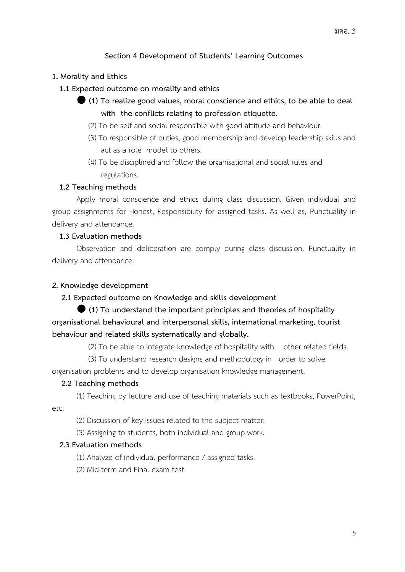## **Section 4 Development of Students' Learning Outcomes**

#### **1. Morality and Ethics**

- **1.1 Expected outcome on morality and ethics**
	- **(1) To realize good values, moral conscience and ethics, to be able to deal with the conflicts relating to profession etiquette.**
		- (2) To be self and social responsible with good attitude and behaviour.
		- (3) To responsible of duties, good membership and develop leadership skills and act as a role model to others.
		- (4) To be disciplined and follow the organisational and social rules and regulations.

#### **1.2 Teaching methods**

Apply moral conscience and ethics during class discussion. Given individual and group assignments for Honest, Responsibility for assigned tasks. As well as, Punctuality in delivery and attendance.

## **1.3 Evaluation methods**

Observation and deliberation are comply during class discussion. Punctuality in delivery and attendance.

#### **2. Knowledge development**

#### **2.1 Expected outcome on Knowledge and skills development**

 **(1) To understand the important principles and theories of hospitality organisational behavioural and interpersonal skills, international marketing, tourist behaviour and related skills systematically and globally.**

(2) To be able to integrate knowledge of hospitality with other related fields.

(3) To understand research designs and methodology in order to solve

organisation problems and to develop organisation knowledge management.

#### **2.2 Teaching methods**

(1) Teaching by lecture and use of teaching materials such as textbooks, PowerPoint,

etc.

- (2) Discussion of key issues related to the subject matter;
- (3) Assigning to students, both individual and group work.

## **2.3 Evaluation methods**

- (1) Analyze of individual performance / assigned tasks.
- (2) Mid-term and Final exam test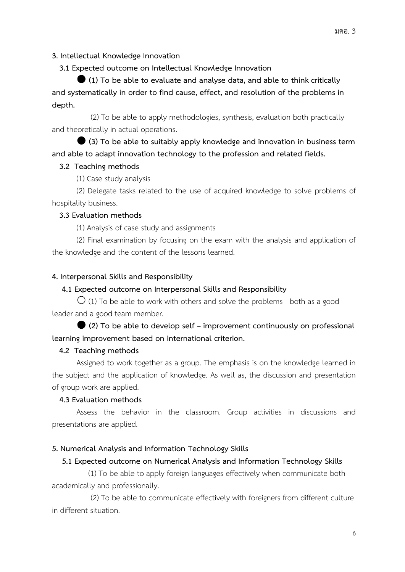#### **3. Intellectual Knowledge Innovation**

 **3.1 Expected outcome on Intellectual Knowledge Innovation**

 **(1) To be able to evaluate and analyse data, and able to think critically and systematically in order to find cause, effect, and resolution of the problems in depth.**

 (2) To be able to apply methodologies, synthesis, evaluation both practically and theoretically in actual operations.

 **(3) To be able to suitably apply knowledge and innovation in business term and able to adapt innovation technology to the profession and related fields.**

#### **3.2 Teaching methods**

(1) Case study analysis

(2) Delegate tasks related to the use of acquired knowledge to solve problems of hospitality business.

#### **3.3 Evaluation methods**

(1) Analysis of case study and assignments

(2) Final examination by focusing on the exam with the analysis and application of the knowledge and the content of the lessons learned.

#### **4. Interpersonal Skills and Responsibility**

## **4.1 Expected outcome on Interpersonal Skills and Responsibility**

 $\overline{O}$  (1) To be able to work with others and solve the problems both as a good leader and a good team member.

 **(2) To be able to develop self – improvement continuously on professional learning improvement based on international criterion.**

#### **4.2 Teaching methods**

Assigned to work together as a group. The emphasis is on the knowledge learned in the subject and the application of knowledge. As well as, the discussion and presentation of group work are applied.

## **4.3 Evaluation methods**

Assess the behavior in the classroom. Group activities in discussions and presentations are applied.

#### **5. Numerical Analysis and Information Technology Skills**

### **5.1 Expected outcome on Numerical Analysis and Information Technology Skills**

 (1) To be able to apply foreign languages effectively when communicate both academically and professionally.

 (2) To be able to communicate effectively with foreigners from different culture in different situation.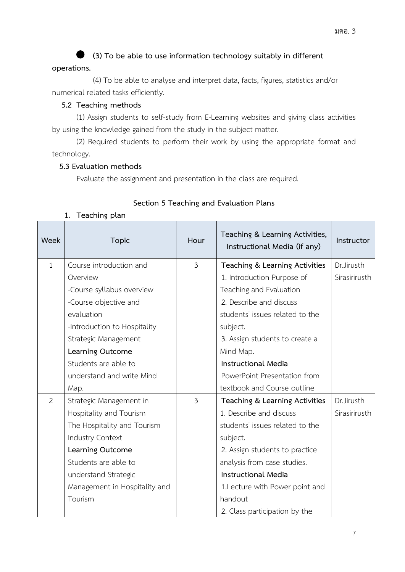**(3) To be able to use information technology suitably in different** 

## **operations.**

 (4) To be able to analyse and interpret data, facts, figures, statistics and/or numerical related tasks efficiently.

## **5.2 Teaching methods**

(1) Assign students to self-study from E-Learning websites and giving class activities by using the knowledge gained from the study in the subject matter.

(2) Required students to perform their work by using the appropriate format and technology.

## **5.3 Evaluation methods**

Evaluate the assignment and presentation in the class are required.

## **Section 5 Teaching and Evaluation Plans**

| Week         | <b>Topic</b>                  | Hour           | Teaching & Learning Activities,<br>Instructional Media (if any) | Instructor    |
|--------------|-------------------------------|----------------|-----------------------------------------------------------------|---------------|
| $\mathbf{1}$ | Course introduction and       | $\overline{3}$ | Teaching & Learning Activities                                  | Dr.Jirusth    |
|              | Overview                      |                | 1. Introduction Purpose of                                      | Sirasirirusth |
|              | -Course syllabus overview     |                | Teaching and Evaluation                                         |               |
|              | -Course objective and         |                | 2. Describe and discuss                                         |               |
|              | evaluation                    |                | students' issues related to the                                 |               |
|              | -Introduction to Hospitality  |                | subject.                                                        |               |
|              | Strategic Management          |                | 3. Assign students to create a                                  |               |
|              | Learning Outcome              |                | Mind Map.                                                       |               |
|              | Students are able to          |                | <b>Instructional Media</b>                                      |               |
|              | understand and write Mind     |                | PowerPoint Presentation from                                    |               |
|              | Map.                          |                | textbook and Course outline                                     |               |
| 2            | Strategic Management in       | $\mathfrak{Z}$ | Teaching & Learning Activities                                  | Dr.Jirusth    |
|              | Hospitality and Tourism       |                | 1. Describe and discuss                                         | Sirasirirusth |
|              | The Hospitality and Tourism   |                | students' issues related to the                                 |               |
|              | Industry Context              |                | subject.                                                        |               |
|              | Learning Outcome              |                | 2. Assign students to practice                                  |               |
|              | Students are able to          |                | analysis from case studies.                                     |               |
|              | understand Strategic          |                | <b>Instructional Media</b>                                      |               |
|              | Management in Hospitality and |                | 1. Lecture with Power point and                                 |               |
|              | Tourism                       |                | handout                                                         |               |
|              |                               |                | 2. Class participation by the                                   |               |

#### **1. Teaching plan**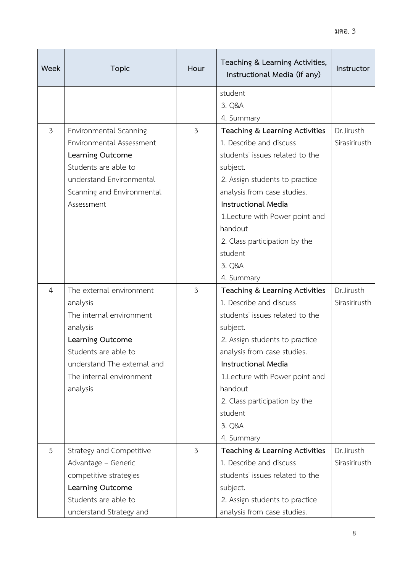| Week           | <b>Topic</b>                | Hour           | Teaching & Learning Activities,<br>Instructional Media (if any) | Instructor    |
|----------------|-----------------------------|----------------|-----------------------------------------------------------------|---------------|
|                |                             |                | student                                                         |               |
|                |                             |                | 3. Q&A                                                          |               |
|                |                             |                | 4. Summary                                                      |               |
| $\mathfrak{Z}$ | Environmental Scanning      | $\mathfrak{Z}$ | Teaching & Learning Activities                                  | Dr.Jirusth    |
|                | Environmental Assessment    |                | 1. Describe and discuss                                         | Sirasirirusth |
|                | Learning Outcome            |                | students' issues related to the                                 |               |
|                | Students are able to        |                | subject.                                                        |               |
|                | understand Environmental    |                | 2. Assign students to practice                                  |               |
|                | Scanning and Environmental  |                | analysis from case studies.                                     |               |
|                | Assessment                  |                | <b>Instructional Media</b>                                      |               |
|                |                             |                | 1. Lecture with Power point and                                 |               |
|                |                             |                | handout                                                         |               |
|                |                             |                | 2. Class participation by the                                   |               |
|                |                             |                | student                                                         |               |
|                |                             |                | 3. Q&A                                                          |               |
|                |                             |                | 4. Summary                                                      |               |
| $\overline{4}$ | The external environment    | 3              | Teaching & Learning Activities                                  | Dr.Jirusth    |
|                | analysis                    |                | 1. Describe and discuss                                         | Sirasirirusth |
|                | The internal environment    |                | students' issues related to the                                 |               |
|                | analysis                    |                | subject.                                                        |               |
|                | Learning Outcome            |                | 2. Assign students to practice                                  |               |
|                | Students are able to        |                | analysis from case studies.                                     |               |
|                | understand The external and |                | <b>Instructional Media</b>                                      |               |
|                | The internal environment    |                | 1. Lecture with Power point and                                 |               |
|                | analysis                    |                | handout                                                         |               |
|                |                             |                | 2. Class participation by the                                   |               |
|                |                             |                | student                                                         |               |
|                |                             |                | 3. Q&A                                                          |               |
|                |                             |                | 4. Summary                                                      |               |
| 5              | Strategy and Competitive    | $\mathfrak{Z}$ | Teaching & Learning Activities                                  | Dr.Jirusth    |
|                | Advantage - Generic         |                | 1. Describe and discuss                                         | Sirasirirusth |
|                | competitive strategies      |                | students' issues related to the                                 |               |
|                | Learning Outcome            |                | subject.                                                        |               |
|                | Students are able to        |                | 2. Assign students to practice                                  |               |
|                | understand Strategy and     |                | analysis from case studies.                                     |               |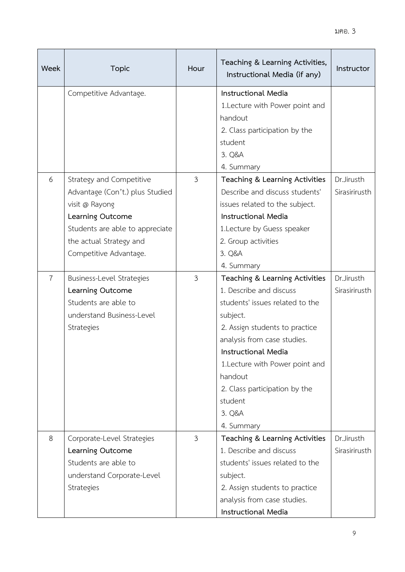| Week           | <b>Topic</b>                                                                                                                                                                              | Hour           | Teaching & Learning Activities,<br>Instructional Media (if any)                                                                                                                                                                                                                                                    | Instructor                  |
|----------------|-------------------------------------------------------------------------------------------------------------------------------------------------------------------------------------------|----------------|--------------------------------------------------------------------------------------------------------------------------------------------------------------------------------------------------------------------------------------------------------------------------------------------------------------------|-----------------------------|
|                | Competitive Advantage.                                                                                                                                                                    |                | <b>Instructional Media</b><br>1. Lecture with Power point and<br>handout<br>2. Class participation by the<br>student<br>3. Q&A<br>4. Summary                                                                                                                                                                       |                             |
| 6              | Strategy and Competitive<br>Advantage (Con't.) plus Studied<br>visit @ Rayong<br>Learning Outcome<br>Students are able to appreciate<br>the actual Strategy and<br>Competitive Advantage. | $\mathfrak{Z}$ | Teaching & Learning Activities<br>Describe and discuss students'<br>issues related to the subject.<br><b>Instructional Media</b><br>1. Lecture by Guess speaker<br>2. Group activities<br>3. Q&A<br>4. Summary                                                                                                     | Dr.Jirusth<br>Sirasirirusth |
| $\overline{7}$ | Business-Level Strategies<br>Learning Outcome<br>Students are able to<br>understand Business-Level<br>Strategies                                                                          | 3              | Teaching & Learning Activities<br>1. Describe and discuss<br>students' issues related to the<br>subject.<br>2. Assign students to practice<br>analysis from case studies.<br>Instructional Media<br>1. Lecture with Power point and<br>handout<br>2. Class participation by the<br>student<br>3. Q&A<br>4. Summary | Dr.Jirusth<br>Sirasirirusth |
| 8              | Corporate-Level Strategies<br>Learning Outcome<br>Students are able to<br>understand Corporate-Level<br>Strategies                                                                        | 3              | Teaching & Learning Activities<br>1. Describe and discuss<br>students' issues related to the<br>subject.<br>2. Assign students to practice<br>analysis from case studies.<br>Instructional Media                                                                                                                   | Dr.Jirusth<br>Sirasirirusth |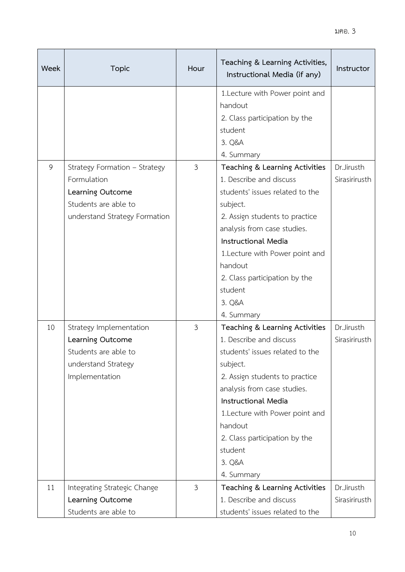| Week | <b>Topic</b>                                 | Hour           | Teaching & Learning Activities,<br>Instructional Media (if any)                        | Instructor                  |
|------|----------------------------------------------|----------------|----------------------------------------------------------------------------------------|-----------------------------|
|      |                                              |                | 1. Lecture with Power point and<br>handout<br>2. Class participation by the<br>student |                             |
|      |                                              |                | 3. Q&A                                                                                 |                             |
|      |                                              |                | 4. Summary                                                                             |                             |
| 9    | Strategy Formation - Strategy<br>Formulation | $\mathfrak{Z}$ | Teaching & Learning Activities<br>1. Describe and discuss                              | Dr.Jirusth<br>Sirasirirusth |
|      | Learning Outcome                             |                | students' issues related to the                                                        |                             |
|      | Students are able to                         |                | subject.                                                                               |                             |
|      | understand Strategy Formation                |                | 2. Assign students to practice                                                         |                             |
|      |                                              |                | analysis from case studies.                                                            |                             |
|      |                                              |                | <b>Instructional Media</b>                                                             |                             |
|      |                                              |                | 1. Lecture with Power point and                                                        |                             |
|      |                                              |                | handout                                                                                |                             |
|      |                                              |                | 2. Class participation by the                                                          |                             |
|      |                                              |                | student                                                                                |                             |
|      |                                              |                | 3. Q&A                                                                                 |                             |
|      |                                              |                | 4. Summary                                                                             |                             |
| 10   | Strategy Implementation                      | $\mathfrak{Z}$ | Teaching & Learning Activities                                                         | Dr.Jirusth                  |
|      | Learning Outcome                             |                | 1. Describe and discuss                                                                | Sirasirirusth               |
|      | Students are able to                         |                | students' issues related to the                                                        |                             |
|      | understand Strategy                          |                | subject.                                                                               |                             |
|      | Implementation                               |                | 2. Assign students to practice<br>analysis from case studies.                          |                             |
|      |                                              |                | <b>Instructional Media</b>                                                             |                             |
|      |                                              |                | 1. Lecture with Power point and                                                        |                             |
|      |                                              |                | handout                                                                                |                             |
|      |                                              |                | 2. Class participation by the                                                          |                             |
|      |                                              |                | student                                                                                |                             |
|      |                                              |                | 3. Q&A                                                                                 |                             |
|      |                                              |                | 4. Summary                                                                             |                             |
| 11   | Integrating Strategic Change                 | $\mathfrak{Z}$ | Teaching & Learning Activities                                                         | Dr.Jirusth                  |
|      | Learning Outcome                             |                | 1. Describe and discuss                                                                | Sirasirirusth               |
|      | Students are able to                         |                | students' issues related to the                                                        |                             |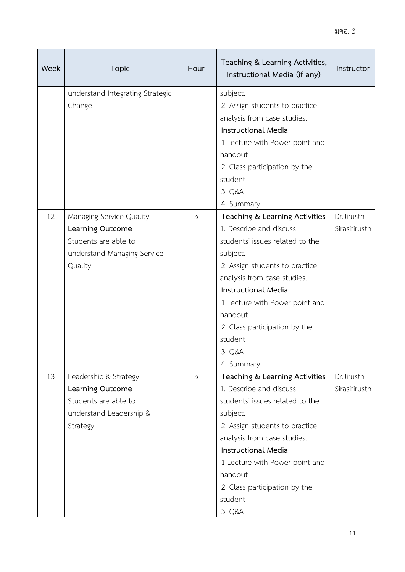| Week | <b>Topic</b>                                                                                                   | Hour           | Teaching & Learning Activities,<br>Instructional Media (if any)                                                                                                                                                                                                                                                                         | Instructor                  |
|------|----------------------------------------------------------------------------------------------------------------|----------------|-----------------------------------------------------------------------------------------------------------------------------------------------------------------------------------------------------------------------------------------------------------------------------------------------------------------------------------------|-----------------------------|
|      | understand Integrating Strategic<br>Change                                                                     |                | subject.<br>2. Assign students to practice<br>analysis from case studies.<br><b>Instructional Media</b><br>1. Lecture with Power point and<br>handout<br>2. Class participation by the<br>student<br>3. Q&A                                                                                                                             |                             |
| 12   | Managing Service Quality<br>Learning Outcome<br>Students are able to<br>understand Managing Service<br>Quality | $\mathfrak{Z}$ | 4. Summary<br>Teaching & Learning Activities<br>1. Describe and discuss<br>students' issues related to the<br>subject.<br>2. Assign students to practice<br>analysis from case studies.<br><b>Instructional Media</b><br>1. Lecture with Power point and<br>handout<br>2. Class participation by the<br>student<br>3. Q&A<br>4. Summary | Dr.Jirusth<br>Sirasirirusth |
| 13   | Leadership & Strategy<br>Learning Outcome<br>Students are able to<br>understand Leadership &<br>Strategy       | $\mathfrak{Z}$ | Teaching & Learning Activities<br>1. Describe and discuss<br>students' issues related to the<br>subject.<br>2. Assign students to practice<br>analysis from case studies.<br><b>Instructional Media</b><br>1. Lecture with Power point and<br>handout<br>2. Class participation by the<br>student<br>3. Q&A                             | Dr.Jirusth<br>Sirasirirusth |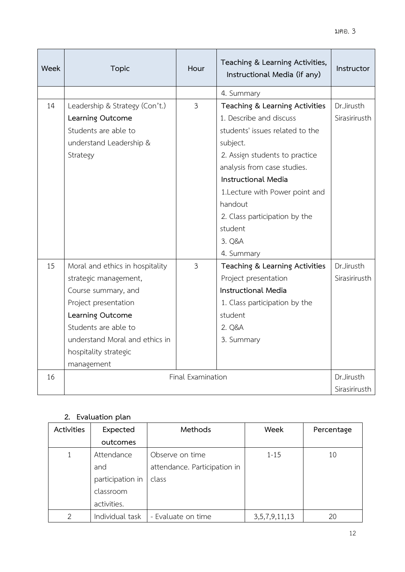| Week | Topic                           | Hour              | Teaching & Learning Activities,<br>Instructional Media (if any) | Instructor    |
|------|---------------------------------|-------------------|-----------------------------------------------------------------|---------------|
|      |                                 |                   | 4. Summary                                                      |               |
| 14   | Leadership & Strategy (Con't.)  | $\overline{3}$    | Teaching & Learning Activities                                  | Dr.Jirusth    |
|      | Learning Outcome                |                   | 1. Describe and discuss                                         | Sirasirirusth |
|      | Students are able to            |                   | students' issues related to the                                 |               |
|      | understand Leadership &         |                   | subject.                                                        |               |
|      | Strategy                        |                   | 2. Assign students to practice                                  |               |
|      |                                 |                   | analysis from case studies.                                     |               |
|      |                                 |                   | <b>Instructional Media</b>                                      |               |
|      |                                 |                   | 1. Lecture with Power point and                                 |               |
|      |                                 |                   | handout                                                         |               |
|      |                                 |                   | 2. Class participation by the                                   |               |
|      |                                 |                   | student                                                         |               |
|      |                                 |                   | 3. Q&A                                                          |               |
|      |                                 |                   | 4. Summary                                                      |               |
| 15   | Moral and ethics in hospitality | $\mathfrak{Z}$    | Teaching & Learning Activities                                  | Dr.Jirusth    |
|      | strategic management,           |                   | Project presentation                                            | Sirasirirusth |
|      | Course summary, and             |                   | <b>Instructional Media</b>                                      |               |
|      | Project presentation            |                   | 1. Class participation by the                                   |               |
|      | Learning Outcome                |                   | student                                                         |               |
|      | Students are able to            |                   | 2. Q&A                                                          |               |
|      | understand Moral and ethics in  |                   | 3. Summary                                                      |               |
|      | hospitality strategic           |                   |                                                                 |               |
|      | management                      |                   |                                                                 |               |
| 16   |                                 | Final Examination |                                                                 | Dr.Jirusth    |
|      |                                 |                   |                                                                 | Sirasirirusth |

# **2. Evaluation plan**

| <b>Activities</b> | Expected         | Methods                      | Week               | Percentage |
|-------------------|------------------|------------------------------|--------------------|------------|
|                   | outcomes         |                              |                    |            |
|                   | Attendance       | Observe on time              | $1 - 15$           | 10         |
|                   | and              | attendance. Participation in |                    |            |
|                   | participation in | class                        |                    |            |
|                   | classroom        |                              |                    |            |
|                   | activities.      |                              |                    |            |
| 2                 | Individual task  | - Evaluate on time           | 3, 5, 7, 9, 11, 13 | 20         |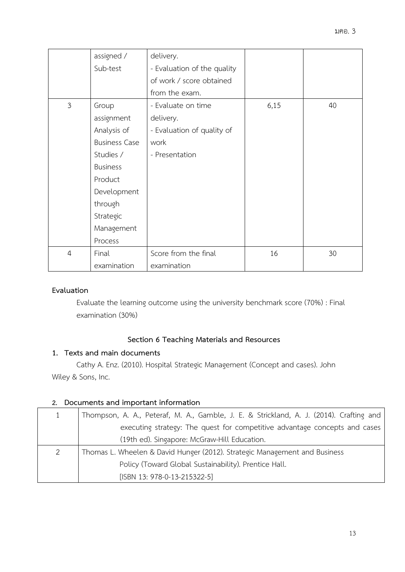|                | assigned /           | delivery.                   |      |    |
|----------------|----------------------|-----------------------------|------|----|
|                | Sub-test             | - Evaluation of the quality |      |    |
|                |                      | of work / score obtained    |      |    |
|                |                      | from the exam.              |      |    |
| $\mathfrak{Z}$ | Group                | - Evaluate on time          | 6,15 | 40 |
|                | assignment           | delivery.                   |      |    |
|                | Analysis of          | - Evaluation of quality of  |      |    |
|                | <b>Business Case</b> | work                        |      |    |
|                | Studies /            | - Presentation              |      |    |
|                | <b>Business</b>      |                             |      |    |
|                | Product              |                             |      |    |
|                | Development          |                             |      |    |
|                | through              |                             |      |    |
|                | Strategic            |                             |      |    |
|                | Management           |                             |      |    |
|                | Process              |                             |      |    |
| $\overline{4}$ | Final                | Score from the final        | 16   | 30 |
|                | examination          | examination                 |      |    |

## **Evaluation**

Evaluate the learning outcome using the university benchmark score (70%) : Final examination (30%)

## **Section 6 Teaching Materials and Resources**

## **1. Texts and main documents**

Cathy A. Enz. (2010). Hospital Strategic Management (Concept and cases). John Wiley & Sons, Inc.

## **2. Documents and important information**

|   | Thompson, A. A., Peteraf, M. A., Gamble, J. E. & Strickland, A. J. (2014). Crafting and |
|---|-----------------------------------------------------------------------------------------|
|   | executing strategy: The quest for competitive advantage concepts and cases              |
|   | (19th ed). Singapore: McGraw-Hill Education.                                            |
| 2 | Thomas L. Wheelen & David Hunger (2012). Strategic Management and Business              |
|   | Policy (Toward Global Sustainability). Prentice Hall.                                   |
|   | [ISBN 13: 978-0-13-215322-5]                                                            |